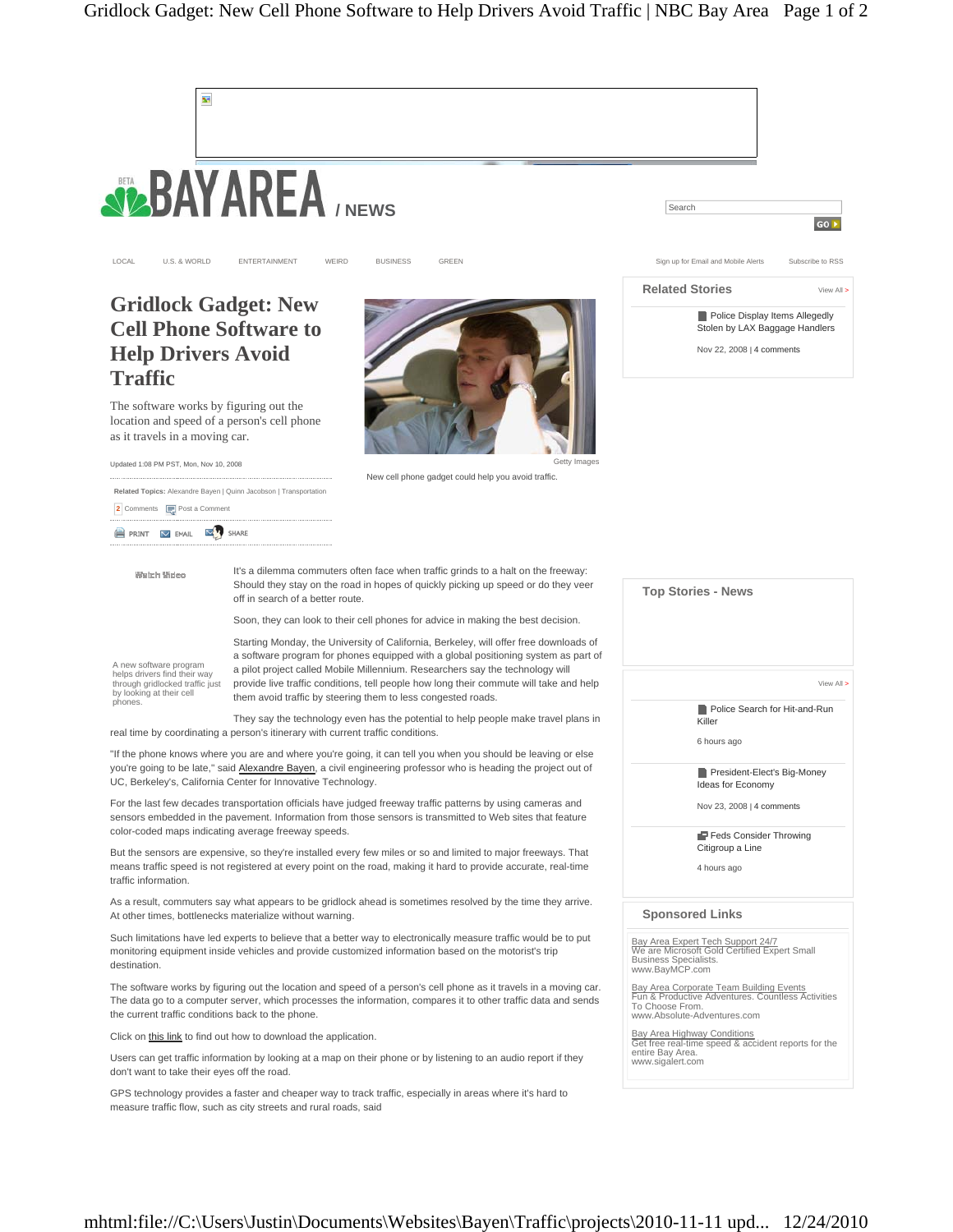